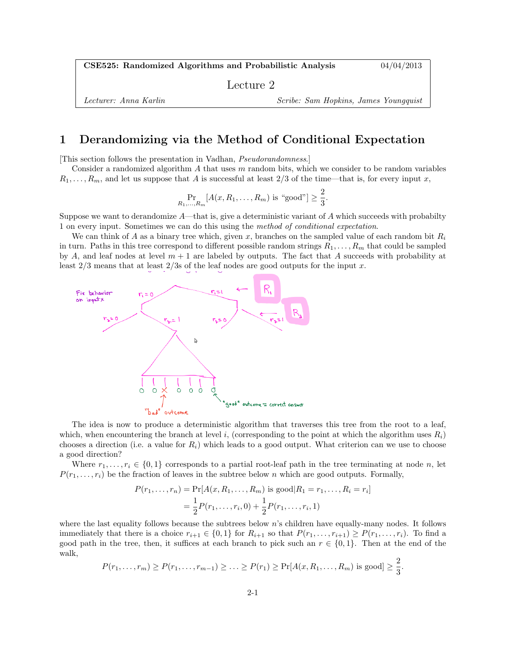CSE525: Randomized Algorithms and Probabilistic Analysis 04/04/2013

Lecture 2

Lecturer: Anna Karlin Scribe: Sam Hopkins, James Youngquist

## 1 Derandomizing via the Method of Conditional Expectation

[This section follows the presentation in Vadhan, Pseudorandomness.]

Consider a randomized algorithm  $A$  that uses  $m$  random bits, which we consider to be random variables  $R_1, \ldots, R_m$ , and let us suppose that A is successful at least 2/3 of the time—that is, for every input x,

$$
\Pr_{R_1,...,R_m}[A(x, R_1,..., R_m) \text{ is "good"}] \ge \frac{2}{3}.
$$

Suppose we want to derandomize  $A$ —that is, give a deterministic variant of  $A$  which succeeds with probabilty 1 on every input. Sometimes we can do this using the method of conditional expectation.

We can think of A as a binary tree which, given x, branches on the sampled value of each random bit  $R_i$ in turn. Paths in this tree correspond to different possible random strings  $R_1, \ldots, R_m$  that could be sampled by A, and leaf nodes at level  $m + 1$  are labeled by outputs. The fact that A succeeds with probability at least  $2/3$  means that at least  $2/3$  of the leaf nodes are good outputs for the input x.



The idea is now to produce a deterministic algorithm that traverses this tree from the root to a leaf, which, when encountering the branch at level i, (corresponding to the point at which the algorithm uses  $R_i$ ) chooses a direction (i.e. a value for  $R_i$ ) which leads to a good output. What criterion can we use to choose a good direction?

Where  $r_1, \ldots, r_i \in \{0, 1\}$  corresponds to a partial root-leaf path in the tree terminating at node n, let  $P(r_1, \ldots, r_i)$  be the fraction of leaves in the subtree below n which are good outputs. Formally,

$$
P(r_1, ..., r_n) = \Pr[A(x, R_1, ..., R_m) \text{ is good} | R_1 = r_1, ..., R_i = r_i]
$$

$$
= \frac{1}{2} P(r_1, ..., r_i, 0) + \frac{1}{2} P(r_1, ..., r_i, 1)
$$

where the last equality follows because the subtrees below n's children have equally-many nodes. It follows immediately that there is a choice  $r_{i+1} \in \{0,1\}$  for  $R_{i+1}$  so that  $P(r_1, \ldots, r_{i+1}) \geq P(r_1, \ldots, r_i)$ . To find a good path in the tree, then, it suffices at each branch to pick such an  $r \in \{0,1\}$ . Then at the end of the walk,  $\Omega$ 

$$
P(r_1,\ldots,r_m)\geq P(r_1,\ldots,r_{m-1})\geq\ldots\geq P(r_1)\geq \Pr[A(x,R_1,\ldots,R_m)\text{ is good}]\geq\frac{2}{3}.
$$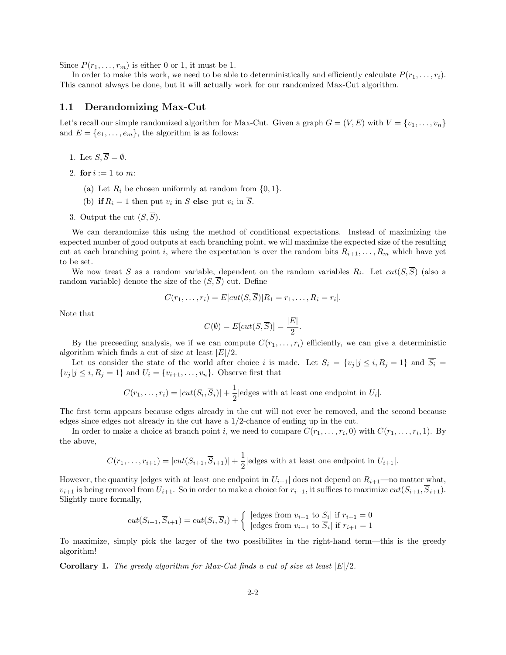Since  $P(r_1, \ldots, r_m)$  is either 0 or 1, it must be 1.

In order to make this work, we need to be able to deterministically and efficiently calculate  $P(r_1, \ldots, r_i)$ . This cannot always be done, but it will actually work for our randomized Max-Cut algorithm.

#### 1.1 Derandomizing Max-Cut

Let's recall our simple randomized algorithm for Max-Cut. Given a graph  $G = (V, E)$  with  $V = \{v_1, \ldots, v_n\}$ and  $E = \{e_1, \ldots, e_m\}$ , the algorithm is as follows:

- 1. Let  $S, \overline{S} = \emptyset$ .
- 2. for  $i := 1$  to m:
	- (a) Let  $R_i$  be chosen uniformly at random from  $\{0, 1\}.$
	- (b) if  $R_i = 1$  then put  $v_i$  in S else put  $v_i$  in S.
- 3. Output the cut  $(S,\overline{S})$ .

We can derandomize this using the method of conditional expectations. Instead of maximizing the expected number of good outputs at each branching point, we will maximize the expected size of the resulting cut at each branching point i, where the expectation is over the random bits  $R_{i+1}, \ldots, R_m$  which have yet to be set.

We now treat S as a random variable, dependent on the random variables  $R_i$ . Let  $cut(S, S)$  (also a random variable) denote the size of the  $(S,\overline{S})$  cut. Define

$$
C(r_1,\ldots,r_i)=E[cut(S,\overline{S})|R_1=r_1,\ldots,R_i=r_i].
$$

Note that

$$
C(\emptyset) = E[cut(S, \overline{S})] = \frac{|E|}{2}.
$$

By the preceeding analysis, we if we can compute  $C(r_1, \ldots, r_i)$  efficiently, we can give a deterministic algorithm which finds a cut of size at least  $|E|/2$ .

Let us consider the state of the world after choice i is made. Let  $S_i = \{v_j | j \le i, R_j = 1\}$  and  $\overline{S_i}$  $\{v_i | j \leq i, R_j = 1\}$  and  $U_i = \{v_{i+1}, \ldots, v_n\}$ . Observe first that

$$
C(r_1,...,r_i) = |cut(S_i,\overline{S}_i)| + \frac{1}{2} |edges \text{ with at least one endpoint in } U_i|.
$$

The first term appears because edges already in the cut will not ever be removed, and the second because edges since edges not already in the cut have a 1/2-chance of ending up in the cut.

In order to make a choice at branch point *i*, we need to compare  $C(r_1, \ldots, r_i, 0)$  with  $C(r_1, \ldots, r_i, 1)$ . By the above,

$$
C(r_1, \ldots, r_{i+1}) = |cut(S_{i+1}, \overline{S}_{i+1})| + \frac{1}{2} |edges \text{ with at least one endpoint in } U_{i+1}|.
$$

However, the quantity edges with at least one endpoint in  $U_{i+1}$  does not depend on  $R_{i+1}$ —no matter what,  $v_{i+1}$  is being removed from  $U_{i+1}$ . So in order to make a choice for  $r_{i+1}$ , it suffices to maximize  $cut(S_{i+1}, S_{i+1})$ . Slightly more formally,

$$
cut(S_{i+1}, \overline{S}_{i+1}) = cut(S_i, \overline{S}_i) + \begin{cases} \text{ledges from } v_{i+1} \text{ to } S_i \text{ if } r_{i+1} = 0\\ \text{ledges from } v_{i+1} \text{ to } \overline{S}_i \text{ if } r_{i+1} = 1 \end{cases}
$$

To maximize, simply pick the larger of the two possibilites in the right-hand term—this is the greedy algorithm!

**Corollary 1.** The greedy algorithm for Max-Cut finds a cut of size at least  $|E|/2$ .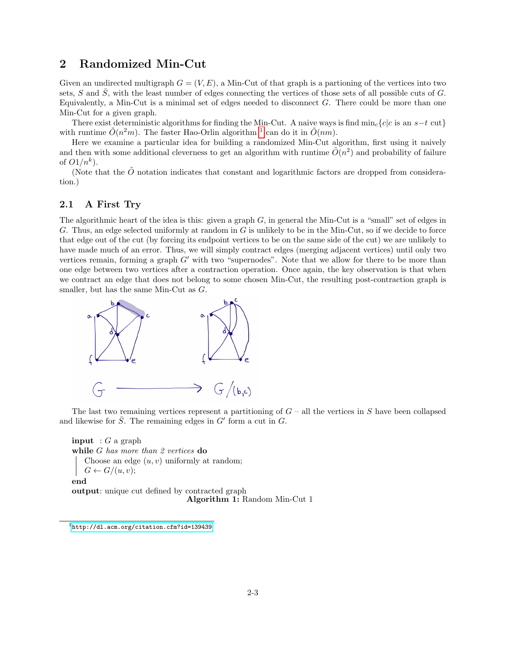## 2 Randomized Min-Cut

Given an undirected multigraph  $G = (V, E)$ , a Min-Cut of that graph is a partioning of the vertices into two sets, S and  $\overline{S}$ , with the least number of edges connecting the vertices of those sets of all possible cuts of G. Equivalently, a Min-Cut is a minimal set of edges needed to disconnect  $G$ . There could be more than one Min-Cut for a given graph.

There exist deterministic algorithms for finding the Min-Cut. A naive ways is find  $\min_c\{c|c \text{ is an } s-t \text{ cut}\}$ with runtime  $\tilde{O}(n^2m)$ . The faster Hao-Orlin algorithm <sup>[1](#page-2-0)</sup> can do it in  $\tilde{O}(nm)$ .

Here we examine a particular idea for building a randomized Min-Cut algorithm, first using it naively and then with some additional cleverness to get an algorithm with runtime  $\tilde{O}(n^2)$  and probability of failure of  $O1/n^k$ ).

(Note that the  $\tilde{O}$  notation indicates that constant and logarithmic factors are dropped from consideration.)

#### 2.1 A First Try

The algorithmic heart of the idea is this: given a graph  $G$ , in general the Min-Cut is a "small" set of edges in G. Thus, an edge selected uniformly at random in G is unlikely to be in the Min-Cut, so if we decide to force that edge out of the cut (by forcing its endpoint vertices to be on the same side of the cut) we are unlikely to have made much of an error. Thus, we will simply contract edges (merging adjacent vertices) until only two vertices remain, forming a graph  $G'$  with two "supernodes". Note that we allow for there to be more than one edge between two vertices after a contraction operation. Once again, the key observation is that when we contract an edge that does not belong to some chosen Min-Cut, the resulting post-contraction graph is smaller, but has the same Min-Cut as G.



The last two remaining vertices represent a partitioning of  $G$  – all the vertices in S have been collapsed and likewise for  $\overline{S}$ . The remaining edges in  $G'$  form a cut in  $G$ .

**input** :  $G$  a graph while G has more than 2 vertices do Choose an edge  $(u, v)$  uniformly at random;  $G \leftarrow G/(u, v);$ end output: unique cut defined by contracted graph Algorithm 1: Random Min-Cut 1

<span id="page-2-1"></span><span id="page-2-0"></span><sup>1</sup><http://dl.acm.org/citation.cfm?id=139439>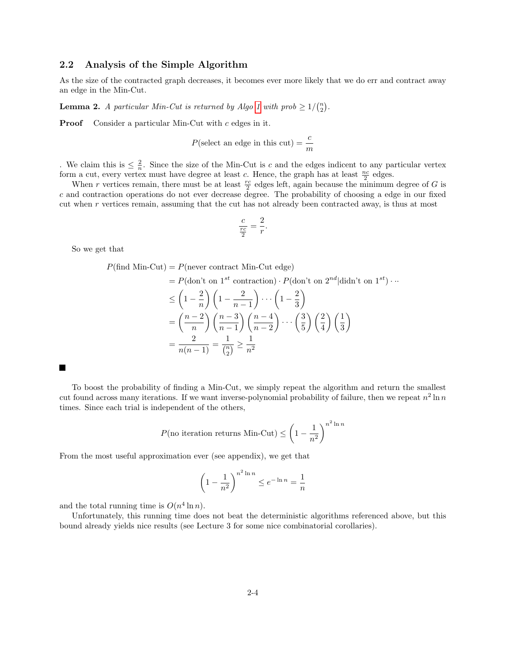#### 2.2 Analysis of the Simple Algorithm

As the size of the contracted graph decreases, it becomes ever more likely that we do err and contract away an edge in the Min-Cut.

**Lemma 2.** A particular Min-Cut is returned by Algo [1](#page-2-1) with prob  $\geq 1/{\binom{n}{2}}$ .

Proof Consider a particular Min-Cut with c edges in it.

$$
P(\text{select an edge in this cut}) = \frac{c}{m}
$$

. We claim this is  $\leq \frac{2}{n}$ . Since the size of the Min-Cut is c and the edges indicent to any particular vertex form a cut, every vertex must have degree at least c. Hence, the graph has at least  $\frac{nc}{2}$  edges.

When r vertices remain, there must be at least  $\frac{rc}{2}$  edges left, again because the minimum degree of G is c and contraction operations do not ever decrease degree. The probability of choosing a edge in our fixed cut when  $r$  vertices remain, assuming that the cut has not already been contracted away, is thus at most

$$
\frac{c}{\frac{rc}{2}} = \frac{2}{r}.
$$

So we get that

 $P(\text{find Min-Cut}) = P(\text{never contract Min-Cut edge})$ 

$$
= P(\text{don't on } 1^{st} \text{ contraction}) \cdot P(\text{don't on } 2^{nd}|\text{didn't on } 1^{st}) \cdots
$$
  
\n
$$
\leq \left(1 - \frac{2}{n}\right) \left(1 - \frac{2}{n-1}\right) \cdots \left(1 - \frac{2}{3}\right)
$$
  
\n
$$
= \left(\frac{n-2}{n}\right) \left(\frac{n-3}{n-1}\right) \left(\frac{n-4}{n-2}\right) \cdots \left(\frac{3}{5}\right) \left(\frac{2}{4}\right) \left(\frac{1}{3}\right)
$$
  
\n
$$
= \frac{2}{n(n-1)} = \frac{1}{\binom{n}{2}} \geq \frac{1}{n^2}
$$

To boost the probability of finding a Min-Cut, we simply repeat the algorithm and return the smallest cut found across many iterations. If we want inverse-polynomial probability of failure, then we repeat  $n^2 \ln n$ times. Since each trial is independent of the others,

$$
P(\text{no iteration returns Min-Cut}) \le \left(1 - \frac{1}{n^2}\right)^{n^2 \ln n}
$$

From the most useful approximation ever (see appendix), we get that

$$
\left(1 - \frac{1}{n^2}\right)^{n^2 \ln n} \le e^{-\ln n} = \frac{1}{n}
$$

and the total running time is  $O(n^4 \ln n)$ .

Unfortunately, this running time does not beat the deterministic algorithms referenced above, but this bound already yields nice results (see Lecture 3 for some nice combinatorial corollaries).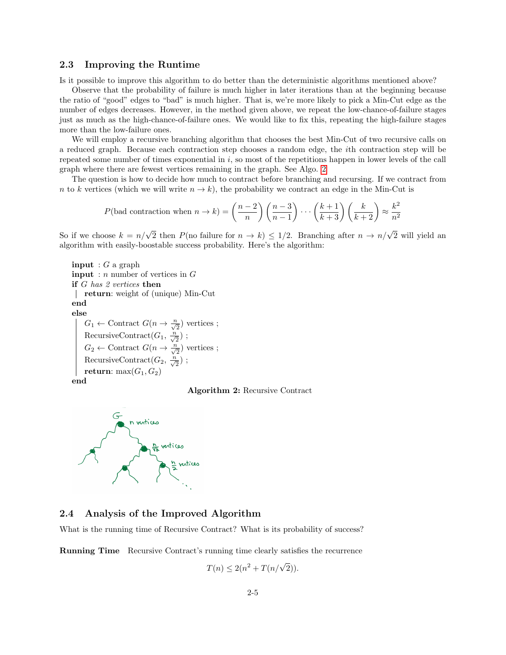#### 2.3 Improving the Runtime

Is it possible to improve this algorithm to do better than the deterministic algorithms mentioned above?

Observe that the probability of failure is much higher in later iterations than at the beginning because the ratio of "good" edges to "bad" is much higher. That is, we're more likely to pick a Min-Cut edge as the number of edges decreases. However, in the method given above, we repeat the low-chance-of-failure stages just as much as the high-chance-of-failure ones. We would like to fix this, repeating the high-failure stages more than the low-failure ones.

We will employ a recursive branching algorithm that chooses the best Min-Cut of two recursive calls on a reduced graph. Because each contraction step chooses a random edge, the ith contraction step will be repeated some number of times exponential in i, so most of the repetitions happen in lower levels of the call graph where there are fewest vertices remaining in the graph. See Algo. [2](#page-4-0)

The question is how to decide how much to contract before branching and recursing. If we contract from n to k vertices (which we will write  $n \to k$ ), the probability we contract an edge in the Min-Cut is

$$
P(\text{bad contraction when } n \to k) = \left(\frac{n-2}{n}\right) \left(\frac{n-3}{n-1}\right) \cdots \left(\frac{k+1}{k+3}\right) \left(\frac{k}{k+2}\right) \approx \frac{k^2}{n^2}
$$

So if we choose  $k = n/\sqrt{2}$  then  $P(\text{no failure for } n \to k) \leq 1/2$ . Branching after  $n \to n/\sqrt{2}$  will yield an algorithm with easily-boostable success probability. Here's the algorithm:

**input** :  $G$  a graph **input** : *n* number of vertices in  $G$ if G has 2 vertices then return: weight of (unique) Min-Cut end else  $G_1 \leftarrow$  Contract  $G(n \rightarrow \frac{n}{\sqrt{2}})$  vertices; RecursiveContract $(G_1, \frac{n}{\sqrt{2}})$ ;  $G_2 \leftarrow$  Contract  $G(n \rightarrow \frac{n}{\sqrt{2}})$  vertices; RecursiveContract $(G_2, \frac{n}{\sqrt{2}})$ ; return: max $(G_1, G_2)$ 

<span id="page-4-0"></span>





### 2.4 Analysis of the Improved Algorithm

What is the running time of Recursive Contract? What is its probability of success?

Running Time Recursive Contract's running time clearly satisfies the recurrence

$$
T(n) \le 2(n^2 + T(n/\sqrt{2})).
$$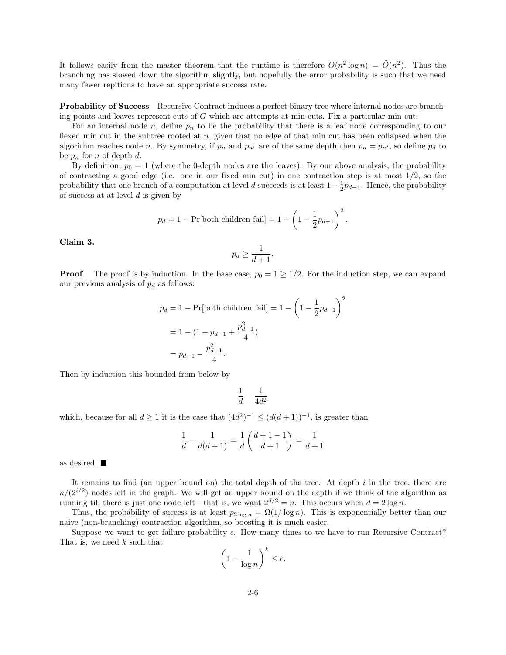It follows easily from the master theorem that the runtime is therefore  $O(n^2 \log n) = \tilde{O}(n^2)$ . Thus the branching has slowed down the algorithm slightly, but hopefully the error probability is such that we need many fewer repitions to have an appropriate success rate.

**Probability of Success** Recursive Contract induces a perfect binary tree where internal nodes are branching points and leaves represent cuts of G which are attempts at min-cuts. Fix a particular min cut.

For an internal node  $n$ , define  $p_n$  to be the probability that there is a leaf node corresponding to our fiexed min cut in the subtree rooted at n, given that no edge of that min cut has been collapsed when the algorithm reaches node n. By symmetry, if  $p_n$  and  $p_{n'}$  are of the same depth then  $p_n = p_{n'}$ , so define  $p_d$  to be  $p_n$  for n of depth d.

By definition,  $p_0 = 1$  (where the 0-depth nodes are the leaves). By our above analysis, the probability of contracting a good edge (i.e. one in our fixed min cut) in one contraction step is at most  $1/2$ , so the probability that one branch of a computation at level d succeeds is at least  $1-\frac{1}{2}p_{d-1}$ . Hence, the probability of success at at level  $d$  is given by

$$
p_d = 1 - \Pr[\text{both children fail}] = 1 - \left(1 - \frac{1}{2}p_{d-1}\right)^2.
$$

Claim 3.

$$
p_d \ge \frac{1}{d+1}.
$$

**Proof** The proof is by induction. In the base case,  $p_0 = 1 \ge 1/2$ . For the induction step, we can expand our previous analysis of  $p_d$  as follows:

$$
p_d = 1 - \Pr[\text{both children fail}] = 1 - \left(1 - \frac{1}{2}p_{d-1}\right)^2
$$

$$
= 1 - (1 - p_{d-1} + \frac{p_{d-1}^2}{4})
$$

$$
= p_{d-1} - \frac{p_{d-1}^2}{4}.
$$

Then by induction this bounded from below by

$$
\frac{1}{d}-\frac{1}{4d^2}
$$

which, because for all  $d \geq 1$  it is the case that  $(4d^2)^{-1} \leq (d(d+1))^{-1}$ , is greater than

$$
\frac{1}{d} - \frac{1}{d(d+1)} = \frac{1}{d} \left( \frac{d+1-1}{d+1} \right) = \frac{1}{d+1}
$$

as desired.

It remains to find (an upper bound on) the total depth of the tree. At depth  $i$  in the tree, there are  $n/(2^{i/2})$  nodes left in the graph. We will get an upper bound on the depth if we think of the algorithm as running till there is just one node left—that is, we want  $2^{d/2} = n$ . This occurs when  $d = 2 \log n$ .

Thus, the probability of success is at least  $p_{2\log n} = \Omega(1/\log n)$ . This is exponentially better than our naive (non-branching) contraction algorithm, so boosting it is much easier.

Suppose we want to get failure probability  $\epsilon$ . How many times to we have to run Recursive Contract? That is, we need  $k$  such that

$$
\left(1 - \frac{1}{\log n}\right)^k \le \epsilon.
$$